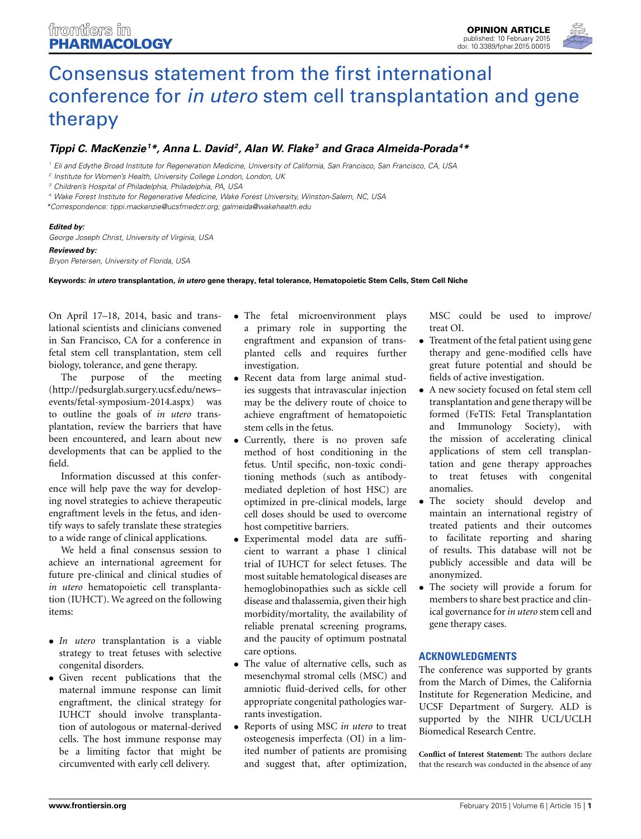

# [Consensus statement from the first international](http://www.frontiersin.org/journal/10.3389/fphar.2015.00015/full) conference for *in utero* stem cell transplantation and gene therapy

## *[Tippi C. MacKenzie1](http://community.frontiersin.org/people/u/128008) \*, Anna L. David2, Alan W. Flake3 and Graca Almeida-Porada4 \**

*<sup>1</sup> Eli and Edythe Broad Institute for Regeneration Medicine, University of California, San Francisco, San Francisco, CA, USA*

*<sup>3</sup> Children's Hospital of Philadelphia, Philadelphia, PA, USA*

*<sup>4</sup> Wake Forest Institute for Regenerative Medicine, Wake Forest University, Winston-Salem, NC, USA*

#### *Edited by:*

*George Joseph Christ, University of Virginia, USA*

#### *Reviewed by:*

*Bryon Petersen, University of Florida, USA*

**Keywords:** *in utero* **transplantation,** *in utero* **gene therapy, fetal tolerance, Hematopoietic Stem Cells, Stem Cell Niche**

On April 17–18, 2014, basic and translational scientists and clinicians convened in San Francisco, CA for a conference in fetal stem cell transplantation, stem cell biology, tolerance, and gene therapy.

The purpose of the meeting [\(http://pedsurglab.surgery.ucsf.edu/news–](http://pedsurglab.surgery.ucsf.edu/news--events/fetal-symposium-2014.aspx) [events/fetal-symposium-2014.aspx\)](http://pedsurglab.surgery.ucsf.edu/news--events/fetal-symposium-2014.aspx) was to outline the goals of *in utero* transplantation, review the barriers that have been encountered, and learn about new developments that can be applied to the field.

Information discussed at this conference will help pave the way for developing novel strategies to achieve therapeutic engraftment levels in the fetus, and identify ways to safely translate these strategies to a wide range of clinical applications.

We held a final consensus session to achieve an international agreement for future pre-clinical and clinical studies of *in utero* hematopoietic cell transplantation (IUHCT). We agreed on the following items:

- *In utero* transplantation is a viable strategy to treat fetuses with selective congenital disorders.
- Given recent publications that the maternal immune response can limit engraftment, the clinical strategy for IUHCT should involve transplantation of autologous or maternal-derived cells. The host immune response may be a limiting factor that might be circumvented with early cell delivery.
- The fetal microenvironment plays a primary role in supporting the engraftment and expansion of transplanted cells and requires further investigation.
- Recent data from large animal studies suggests that intravascular injection may be the delivery route of choice to achieve engraftment of hematopoietic stem cells in the fetus.
- Currently, there is no proven safe method of host conditioning in the fetus. Until specific, non-toxic conditioning methods (such as antibodymediated depletion of host HSC) are optimized in pre-clinical models, large cell doses should be used to overcome host competitive barriers.
- Experimental model data are sufficient to warrant a phase 1 clinical trial of IUHCT for select fetuses. The most suitable hematological diseases are hemoglobinopathies such as sickle cell disease and thalassemia, given their high morbidity/mortality, the availability of reliable prenatal screening programs, and the paucity of optimum postnatal care options.
- The value of alternative cells, such as mesenchymal stromal cells (MSC) and amniotic fluid-derived cells, for other appropriate congenital pathologies warrants investigation.
- Reports of using MSC *in utero* to treat osteogenesis imperfecta (OI) in a limited number of patients are promising and suggest that, after optimization,

MSC could be used to improve/ treat OI.

- Treatment of the fetal patient using gene therapy and gene-modified cells have great future potential and should be fields of active investigation.
- A new society focused on fetal stem cell transplantation and gene therapy will be formed (FeTIS: Fetal Transplantation and Immunology Society), with the mission of accelerating clinical applications of stem cell transplantation and gene therapy approaches to treat fetuses with congenital anomalies.
- The society should develop and maintain an international registry of treated patients and their outcomes to facilitate reporting and sharing of results. This database will not be publicly accessible and data will be anonymized.
- The society will provide a forum for members to share best practice and clinical governance for*in utero* stem cell and gene therapy cases.

### **ACKNOWLEDGMENTS**

The conference was supported by grants from the March of Dimes, the California Institute for Regeneration Medicine, and UCSF Department of Surgery. ALD is supported by the NIHR UCL/UCLH Biomedical Research Centre.

**Conflict of Interest Statement:** The authors declare that the research was conducted in the absence of any

*<sup>2</sup> Institute for Women's Health, University College London, London, UK*

*<sup>\*</sup>Correspondence: [tippi.mackenzie@ucsfmedctr.org;](mailto:tippi.mackenzie@ucsfmedctr.org) [galmeida@wakehealth.edu](mailto:galmeida@wakehealth.edu)*